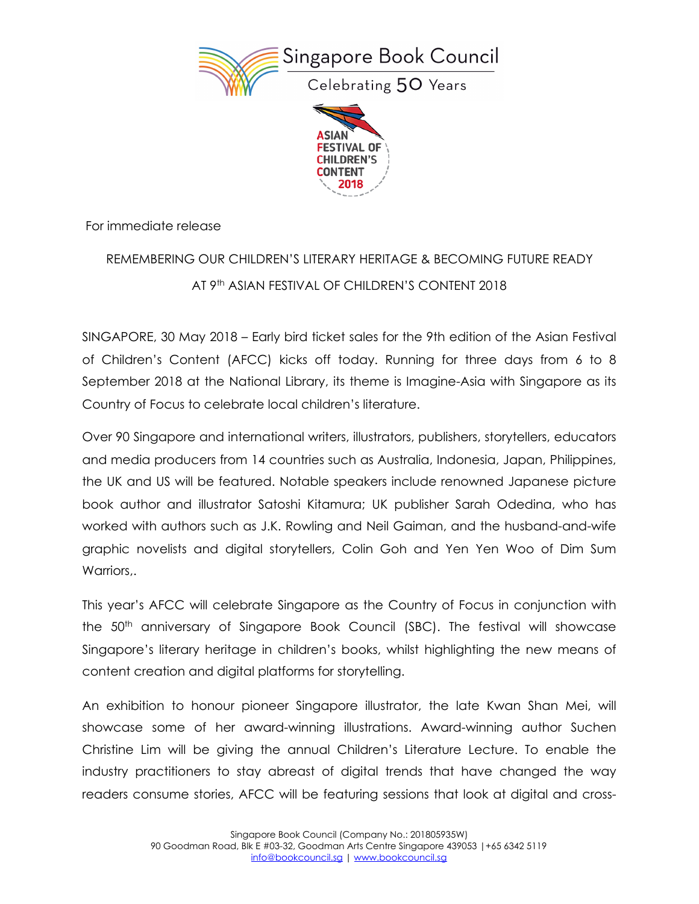



For immediate release

# REMEMBERING OUR CHILDREN'S LITERARY HERITAGE & BECOMING FUTURE READY AT 9<sup>th</sup> ASIAN FESTIVAL OF CHILDREN'S CONTENT 2018

SINGAPORE, 30 May 2018 – Early bird ticket sales for the 9th edition of the Asian Festival of Children's Content (AFCC) kicks off today. Running for three days from 6 to 8 September 2018 at the National Library, its theme is Imagine-Asia with Singapore as its Country of Focus to celebrate local children's literature.

Over 90 Singapore and international writers, illustrators, publishers, storytellers, educators and media producers from 14 countries such as Australia, Indonesia, Japan, Philippines, the UK and US will be featured. Notable speakers include renowned Japanese picture book author and illustrator Satoshi Kitamura; UK publisher Sarah Odedina, who has worked with authors such as J.K. Rowling and Neil Gaiman, and the husband-and-wife graphic novelists and digital storytellers, Colin Goh and Yen Yen Woo of Dim Sum Warriors..

This year's AFCC will celebrate Singapore as the Country of Focus in conjunction with the 50<sup>th</sup> anniversary of Singapore Book Council (SBC). The festival will showcase Singapore's literary heritage in children's books, whilst highlighting the new means of content creation and digital platforms for storytelling.

An exhibition to honour pioneer Singapore illustrator, the late Kwan Shan Mei, will showcase some of her award-winning illustrations. Award-winning author Suchen Christine Lim will be giving the annual Children's Literature Lecture. To enable the industry practitioners to stay abreast of digital trends that have changed the way readers consume stories, AFCC will be featuring sessions that look at digital and cross-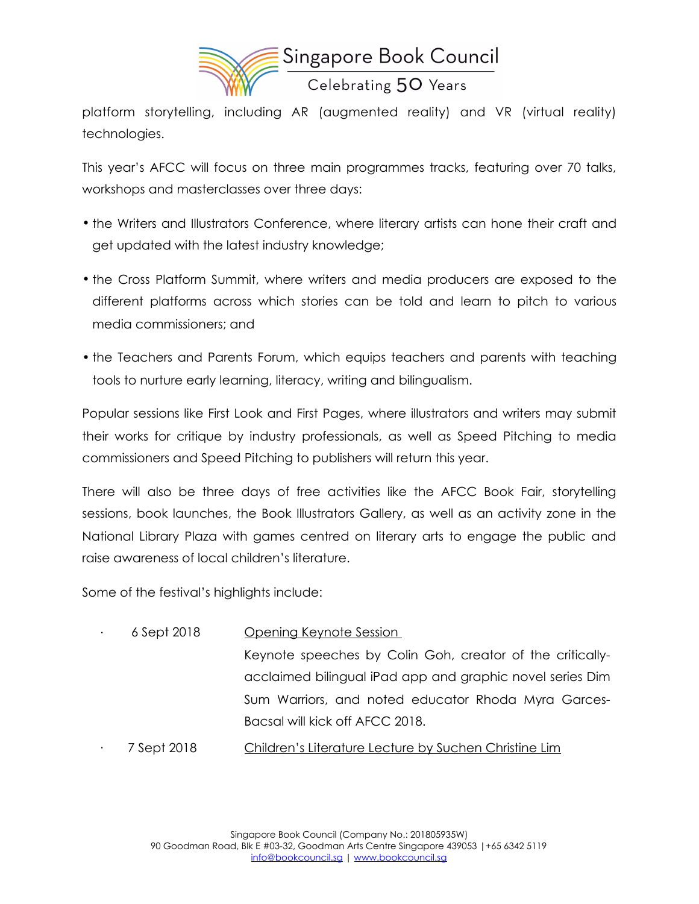

platform storytelling, including AR (augmented reality) and VR (virtual reality) technologies.

This year's AFCC will focus on three main programmes tracks, featuring over 70 talks, workshops and masterclasses over three days:

- the Writers and Illustrators Conference, where literary artists can hone their craft and get updated with the latest industry knowledge;
- the Cross Platform Summit, where writers and media producers are exposed to the different platforms across which stories can be told and learn to pitch to various media commissioners; and
- the Teachers and Parents Forum, which equips teachers and parents with teaching tools to nurture early learning, literacy, writing and bilingualism.

Popular sessions like First Look and First Pages, where illustrators and writers may submit their works for critique by industry professionals, as well as Speed Pitching to media commissioners and Speed Pitching to publishers will return this year.

There will also be three days of free activities like the AFCC Book Fair, storytelling sessions, book launches, the Book Illustrators Gallery, as well as an activity zone in the National Library Plaza with games centred on literary arts to engage the public and raise awareness of local children's literature.

Some of the festival's highlights include:

· 6 Sept 2018 Opening Keynote Session Keynote speeches by Colin Goh, creator of the criticallyacclaimed bilingual iPad app and graphic novel series Dim Sum Warriors, and noted educator Rhoda Myra Garces-Bacsal will kick off AFCC 2018. 7 Sept 2018 Children's Literature Lecture by Suchen Christine Lim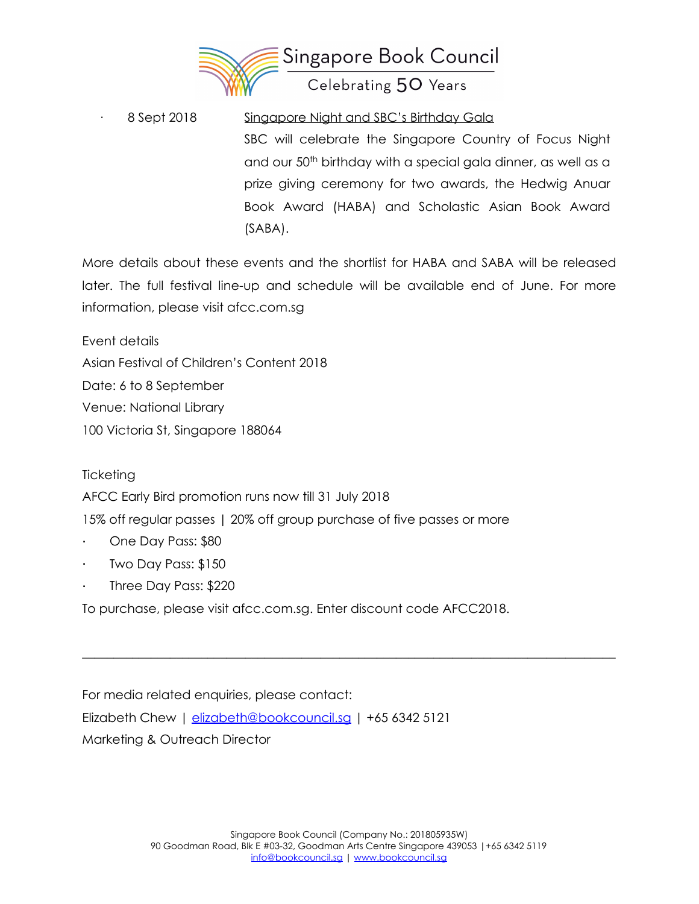

8 Sept 2018 Singapore Night and SBC's Birthday Gala SBC will celebrate the Singapore Country of Focus Night and our 50<sup>th</sup> birthday with a special gala dinner, as well as a prize giving ceremony for two awards, the Hedwig Anuar Book Award (HABA) and Scholastic Asian Book Award (SABA).

More details about these events and the shortlist for HABA and SABA will be released later. The full festival line-up and schedule will be available end of June. For more information, please visit afcc.com.sg

Event details

Asian Festival of Children's Content 2018

Date: 6 to 8 September

Venue: National Library

100 Victoria St, Singapore 188064

**Ticketing** 

AFCC Early Bird promotion runs now till 31 July 2018

15% off regular passes | 20% off group purchase of five passes or more

- · One Day Pass: \$80
- · Two Day Pass: \$150
- Three Day Pass: \$220

To purchase, please visit afcc.com.sg. Enter discount code AFCC2018.

For media related enquiries, please contact: Elizabeth Chew | [elizabeth@bookcouncil.sg](mailto:elizabeth@bookcouncil.sg) | +65 6342 5121 Marketing & Outreach Director

 $\_$  , and the set of the set of the set of the set of the set of the set of the set of the set of the set of the set of the set of the set of the set of the set of the set of the set of the set of the set of the set of th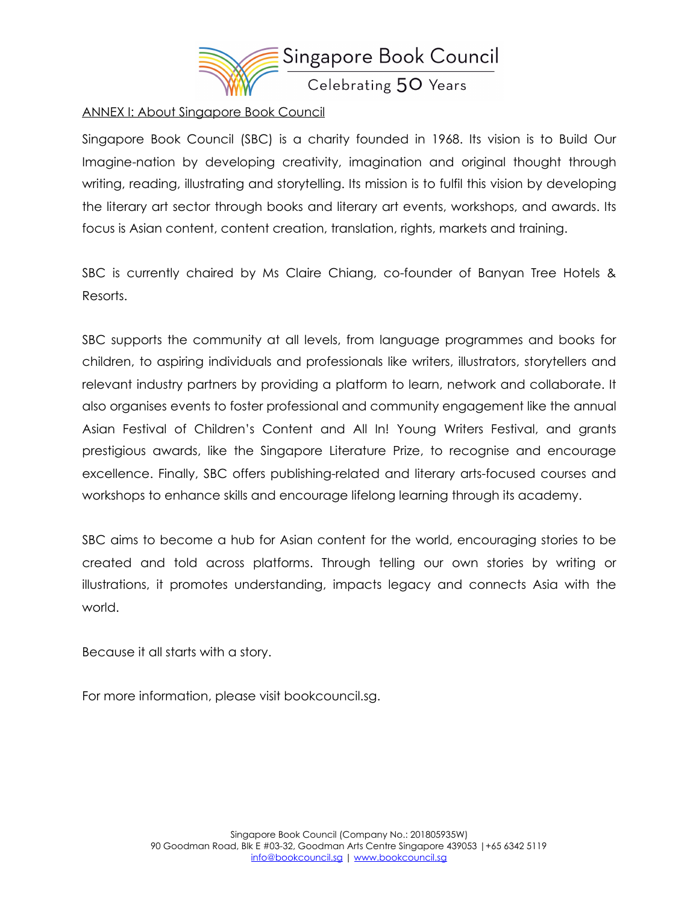

#### ANNEX I: About Singapore Book Council

Singapore Book Council (SBC) is a charity founded in 1968. Its vision is to Build Our Imagine-nation by developing creativity, imagination and original thought through writing, reading, illustrating and storytelling. Its mission is to fulfil this vision by developing the literary art sector through books and literary art events, workshops, and awards. Its focus is Asian content, content creation, translation, rights, markets and training.

SBC is currently chaired by Ms Claire Chiang, co-founder of Banyan Tree Hotels & Resorts.

SBC supports the community at all levels, from language programmes and books for children, to aspiring individuals and professionals like writers, illustrators, storytellers and relevant industry partners by providing a platform to learn, network and collaborate. It also organises events to foster professional and community engagement like the annual Asian Festival of Children's Content and All In! Young Writers Festival, and grants prestigious awards, like the Singapore Literature Prize, to recognise and encourage excellence. Finally, SBC offers publishing-related and literary arts-focused courses and workshops to enhance skills and encourage lifelong learning through its academy.

SBC aims to become a hub for Asian content for the world, encouraging stories to be created and told across platforms. Through telling our own stories by writing or illustrations, it promotes understanding, impacts legacy and connects Asia with the world.

Because it all starts with a story.

For more information, please visit bookcouncil.sg.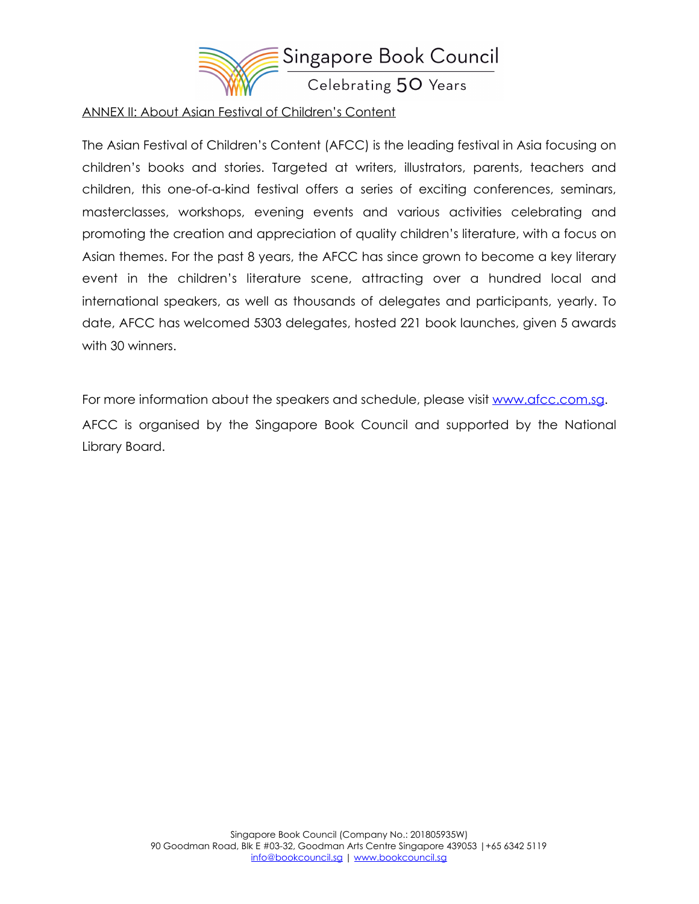

#### ANNEX II: About Asian Festival of Children's Content

The Asian Festival of Children's Content (AFCC) is the leading festival in Asia focusing on children's books and stories. Targeted at writers, illustrators, parents, teachers and children, this one-of-a-kind festival offers a series of exciting conferences, seminars, masterclasses, workshops, evening events and various activities celebrating and promoting the creation and appreciation of quality children's literature, with a focus on Asian themes. For the past 8 years, the AFCC has since grown to become a key literary event in the children's literature scene, attracting over a hundred local and international speakers, as well as thousands of delegates and participants, yearly. To date, AFCC has welcomed 5303 delegates, hosted 221 book launches, given 5 awards with 30 winners.

For more information about the speakers and schedule, please visit [www.afcc.com.sg.](http://www.afcc.com.sg) AFCC is organised by the Singapore Book Council and supported by the National Library Board.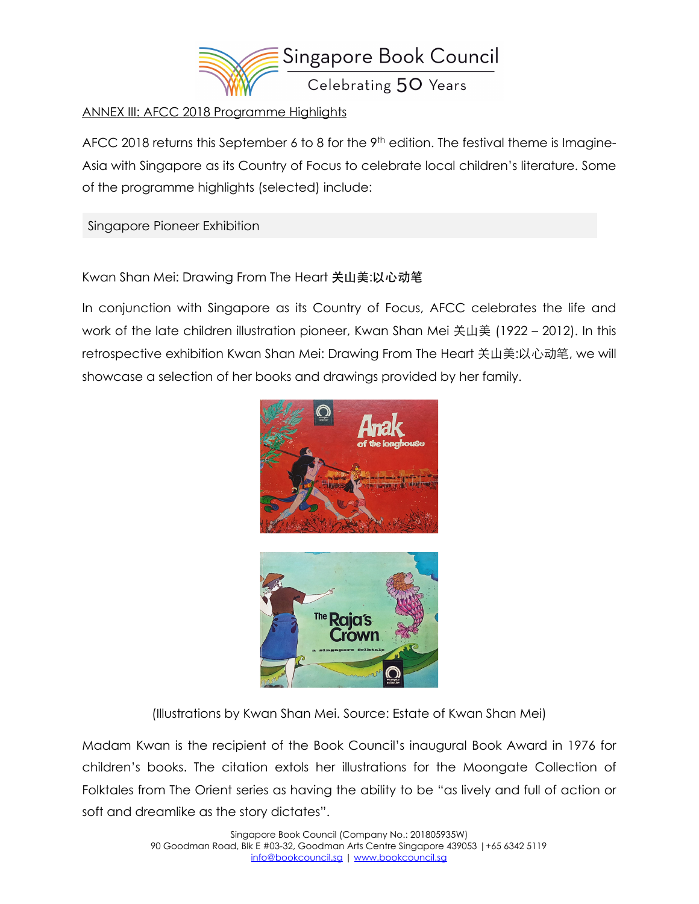

#### ANNEX III: AFCC 2018 Programme Highlights

AFCC 2018 returns this September 6 to 8 for the  $9<sup>th</sup>$  edition. The festival theme is Imagine-Asia with Singapore as its Country of Focus to celebrate local children's literature. Some of the programme highlights (selected) include:

Singapore Pioneer Exhibition

Kwan Shan Mei: Drawing From The Heart 关山美:以心动笔

In conjunction with Singapore as its Country of Focus, AFCC celebrates the life and work of the late children illustration pioneer, Kwan Shan Mei 关山美 (1922 – 2012). In this retrospective exhibition Kwan Shan Mei: Drawing From The Heart 关山美:以心动笔, we will showcase a selection of her books and drawings provided by her family.





(Illustrations by Kwan Shan Mei. Source: Estate of Kwan Shan Mei)

Madam Kwan is the recipient of the Book Council's inaugural Book Award in 1976 for children's books. The citation extols her illustrations for the Moongate Collection of Folktales from The Orient series as having the ability to be "as lively and full of action or soft and dreamlike as the story dictates".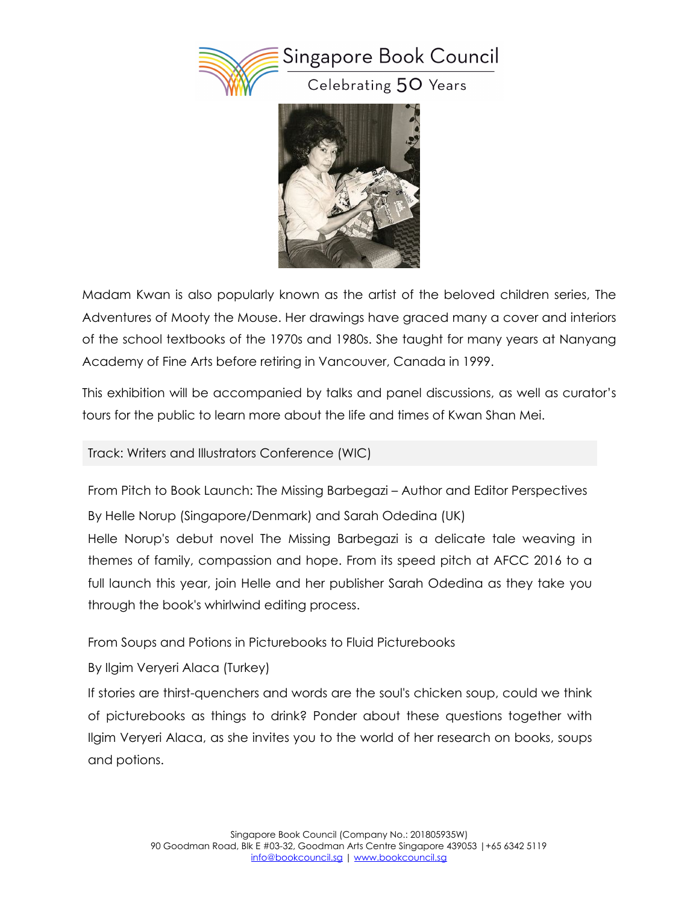



Madam Kwan is also popularly known as the artist of the beloved children series, The Adventures of Mooty the Mouse. Her drawings have graced many a cover and interiors of the school textbooks of the 1970s and 1980s. She taught for many years at Nanyang Academy of Fine Arts before retiring in Vancouver, Canada in 1999.

This exhibition will be accompanied by talks and panel discussions, as well as curator's tours for the public to learn more about the life and times of Kwan Shan Mei.

Track: Writers and Illustrators Conference (WIC)

From Pitch to Book Launch: The Missing Barbegazi – Author and Editor Perspectives By Helle Norup (Singapore/Denmark) and Sarah Odedina (UK)

Helle Norup's debut novel The Missing Barbegazi is a delicate tale weaving in themes of family, compassion and hope. From its speed pitch at AFCC 2016 to a full launch this year, join Helle and her publisher Sarah Odedina as they take you through the book's whirlwind editing process.

From Soups and Potions in Picturebooks to Fluid Picturebooks

By Ilgim Veryeri Alaca (Turkey)

If stories are thirst-quenchers and words are the soul's chicken soup, could we think of picturebooks as things to drink? Ponder about these questions together with Ilgim Veryeri Alaca, as she invites you to the world of her research on books, soups and potions.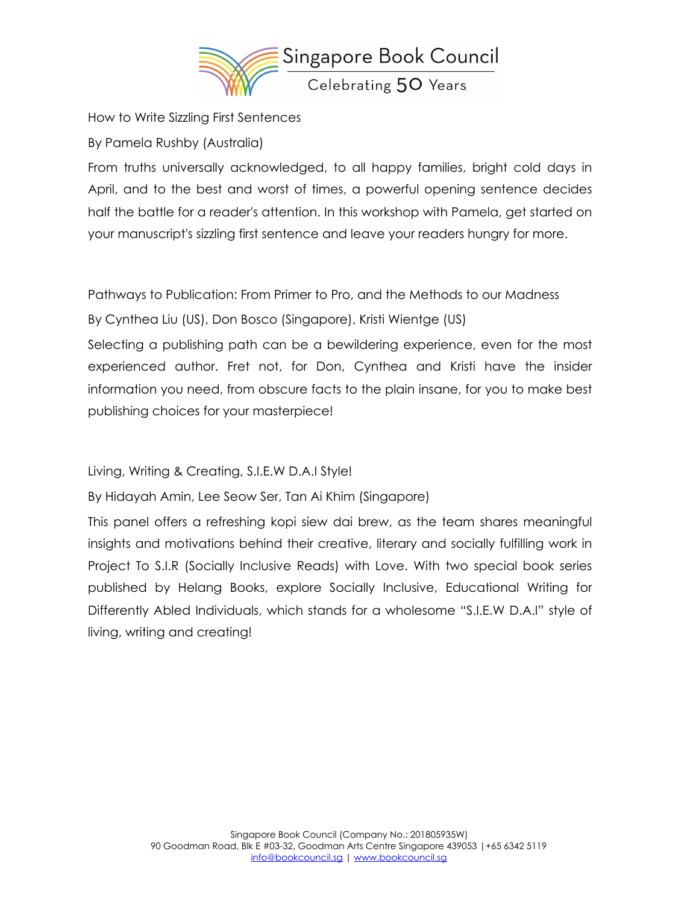

How to Write Sizzling First Sentences

By Pamela Rushby (Australia)

From truths universally acknowledged, to all happy families, bright cold days in April, and to the best and worst of times, a powerful opening sentence decides half the battle for a reader's attention. In this workshop with Pamela, get started on your manuscript's sizzling first sentence and leave your readers hungry for more.

Pathways to Publication: From Primer to Pro, and the Methods to our Madness

By Cynthea Liu (US), Don Bosco (Singapore), Kristi Wientge (US)

Selecting a publishing path can be a bewildering experience, even for the most experienced author. Fret not, for Don, Cynthea and Kristi have the insider information you need, from obscure facts to the plain insane, for you to make best publishing choices for your masterpiece!

Living, Writing & Creating, S.I.E.W D.A.I Style!

By Hidayah Amin, Lee Seow Ser, Tan Ai Khim (Singapore)

This panel offers a refreshing kopi siew dai brew, as the team shares meaningful insights and motivations behind their creative, literary and socially fulfilling work in Project To S.I.R (Socially Inclusive Reads) with Love. With two special book series published by Helang Books, explore Socially Inclusive, Educational Writing for Differently Abled Individuals, which stands for a wholesome "S.I.E.W D.A.I" style of living, writing and creating!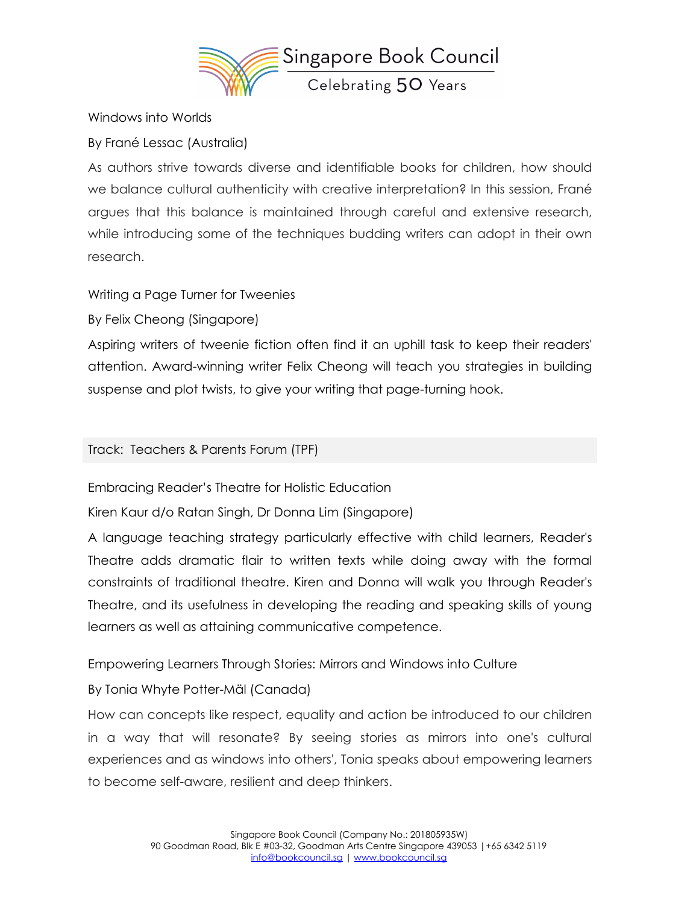

Windows into Worlds

By Frané Lessac (Australia)

As authors strive towards diverse and identifiable books for children, how should we balance cultural authenticity with creative interpretation? In this session, Frané argues that this balance is maintained through careful and extensive research, while introducing some of the techniques budding writers can adopt in their own research.

Writing a Page Turner for Tweenies

By Felix Cheong (Singapore)

Aspiring writers of tweenie fiction often find it an uphill task to keep their readers' attention. Award-winning writer Felix Cheong will teach you strategies in building suspense and plot twists, to give your writing that page-turning hook.

Track: Teachers & Parents Forum (TPF)

Embracing Reader's Theatre for Holistic Education

Kiren Kaur d/o Ratan Singh, Dr Donna Lim (Singapore)

A language teaching strategy particularly effective with child learners, Reader's Theatre adds dramatic flair to written texts while doing away with the formal constraints of traditional theatre. Kiren and Donna will walk you through Reader's Theatre, and its usefulness in developing the reading and speaking skills of young learners as well as attaining communicative competence.

Empowering Learners Through Stories: Mirrors and Windows into Culture

## By Tonia Whyte Potter-Mäl (Canada)

How can concepts like respect, equality and action be introduced to our children in a way that will resonate? By seeing stories as mirrors into one's cultural experiences and as windows into others', Tonia speaks about empowering learners to become self-aware, resilient and deep thinkers.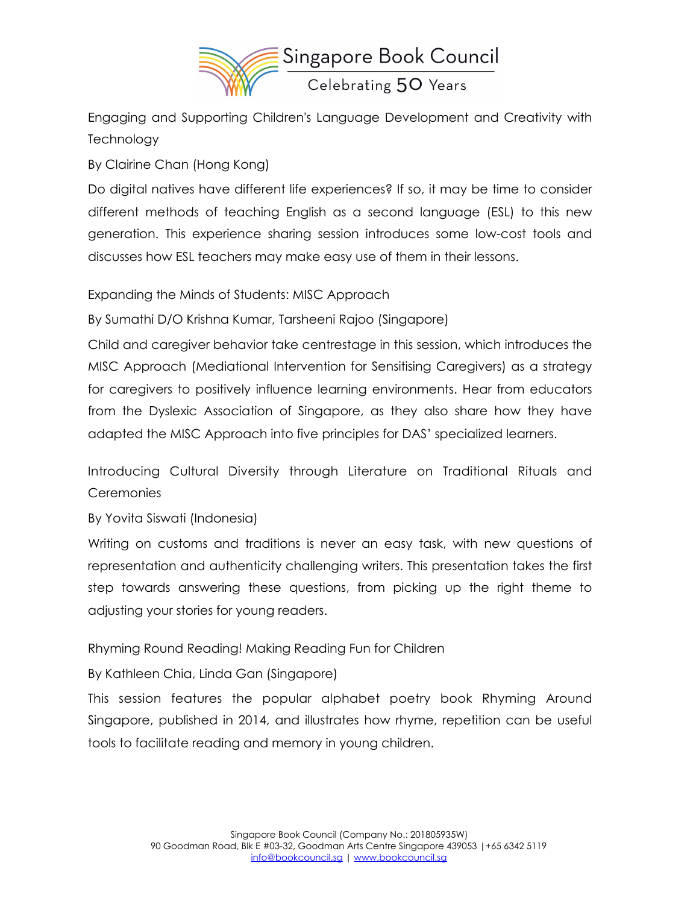

Engaging and Supporting Children's Language Development and Creativity with **Technology** 

By Clairine Chan (Hong Kong)

Do digital natives have different life experiences? If so, it may be time to consider different methods of teaching English as a second language (ESL) to this new generation. This experience sharing session introduces some low-cost tools and discusses how ESL teachers may make easy use of them in their lessons.

Expanding the Minds of Students: MISC Approach

By Sumathi D/O Krishna Kumar, Tarsheeni Rajoo (Singapore)

Child and caregiver behavior take centrestage in this session, which introduces the MISC Approach (Mediational Intervention for Sensitising Caregivers) as a strategy for caregivers to positively influence learning environments. Hear from educators from the Dyslexic Association of Singapore, as they also share how they have adapted the MISC Approach into five principles for DAS' specialized learners.

Introducing Cultural Diversity through Literature on Traditional Rituals and **Ceremonies** 

By Yovita Siswati (Indonesia)

Writing on customs and traditions is never an easy task, with new questions of representation and authenticity challenging writers. This presentation takes the first step towards answering these questions, from picking up the right theme to adjusting your stories for young readers.

Rhyming Round Reading! Making Reading Fun for Children

By Kathleen Chia, Linda Gan (Singapore)

This session features the popular alphabet poetry book Rhyming Around Singapore, published in 2014, and illustrates how rhyme, repetition can be useful tools to facilitate reading and memory in young children.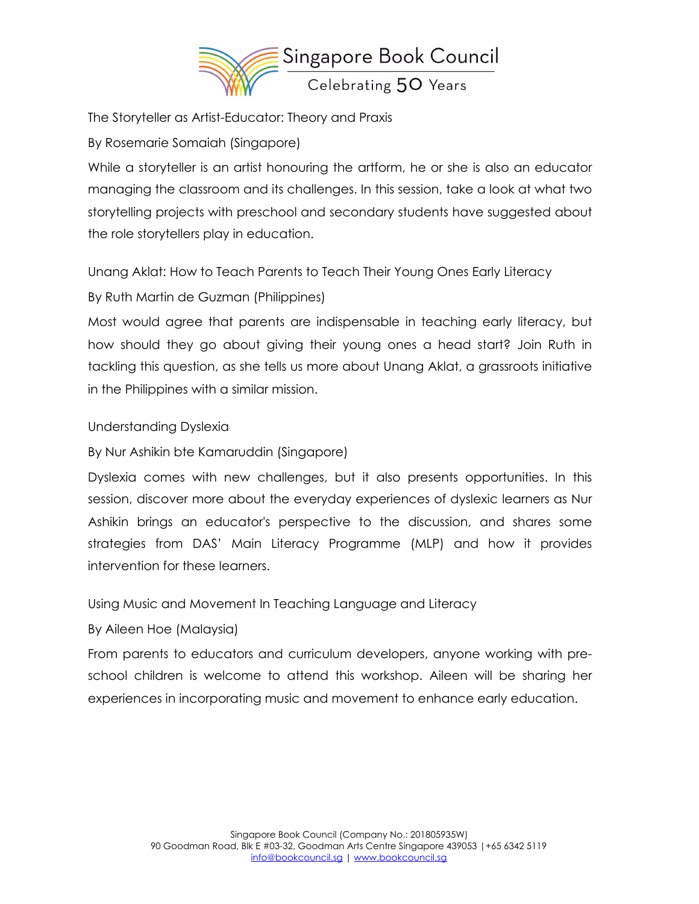

The Storyteller as Artist-Educator: Theory and Praxis By Rosemarie Somaiah (Singapore)

While a storyteller is an artist honouring the artform, he or she is also an educator managing the classroom and its challenges. In this session, take a look at what two storytelling projects with preschool and secondary students have suggested about the role storytellers play in education.

Unang Aklat: How to Teach Parents to Teach Their Young Ones Early Literacy By Ruth Martin de Guzman (Philippines)

Most would agree that parents are indispensable in teaching early literacy, but how should they go about giving their young ones a head start? Join Ruth in tackling this question, as she tells us more about Unang Aklat, a grassroots initiative in the Philippines with a similar mission.

## Understanding Dyslexia

By Nur Ashikin bte Kamaruddin (Singapore)

Dyslexia comes with new challenges, but it also presents opportunities. In this session, discover more about the everyday experiences of dyslexic learners as Nur Ashikin brings an educator's perspective to the discussion, and shares some strategies from DAS' Main Literacy Programme (MLP) and how it provides intervention for these learners.

Using Music and Movement In Teaching Language and Literacy

#### By Aileen Hoe (Malaysia)

From parents to educators and curriculum developers, anyone working with preschool children is welcome to attend this workshop. Aileen will be sharing her experiences in incorporating music and movement to enhance early education.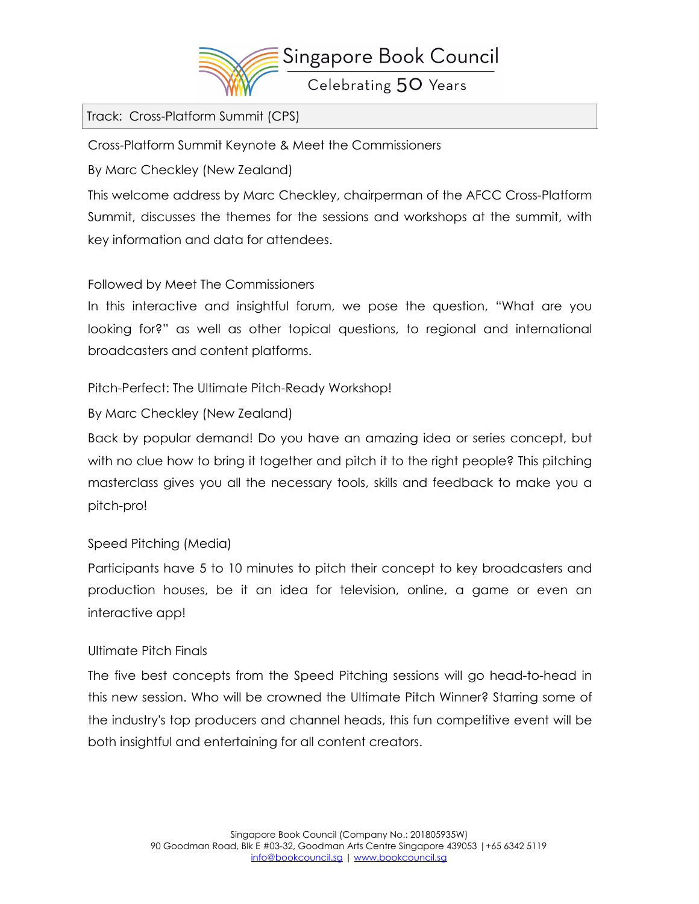

Track: Cross-Platform Summit (CPS)

Cross-Platform Summit Keynote & Meet the Commissioners

By Marc Checkley (New Zealand)

This welcome address by Marc Checkley, chairperman of the AFCC Cross-Platform Summit, discusses the themes for the sessions and workshops at the summit, with key information and data for attendees.

# Followed by Meet The Commissioners

In this interactive and insightful forum, we pose the question, "What are you looking for?" as well as other topical questions, to regional and international broadcasters and content platforms.

Pitch-Perfect: The Ultimate Pitch-Ready Workshop!

By Marc Checkley (New Zealand)

Back by popular demand! Do you have an amazing idea or series concept, but with no clue how to bring it together and pitch it to the right people? This pitching masterclass gives you all the necessary tools, skills and feedback to make you a pitch-pro!

## Speed Pitching (Media)

Participants have 5 to 10 minutes to pitch their concept to key broadcasters and production houses, be it an idea for television, online, a game or even an interactive app!

## Ultimate Pitch Finals

The five best concepts from the Speed Pitching sessions will go head-to-head in this new session. Who will be crowned the Ultimate Pitch Winner? Starring some of the industry's top producers and channel heads, this fun competitive event will be both insightful and entertaining for all content creators.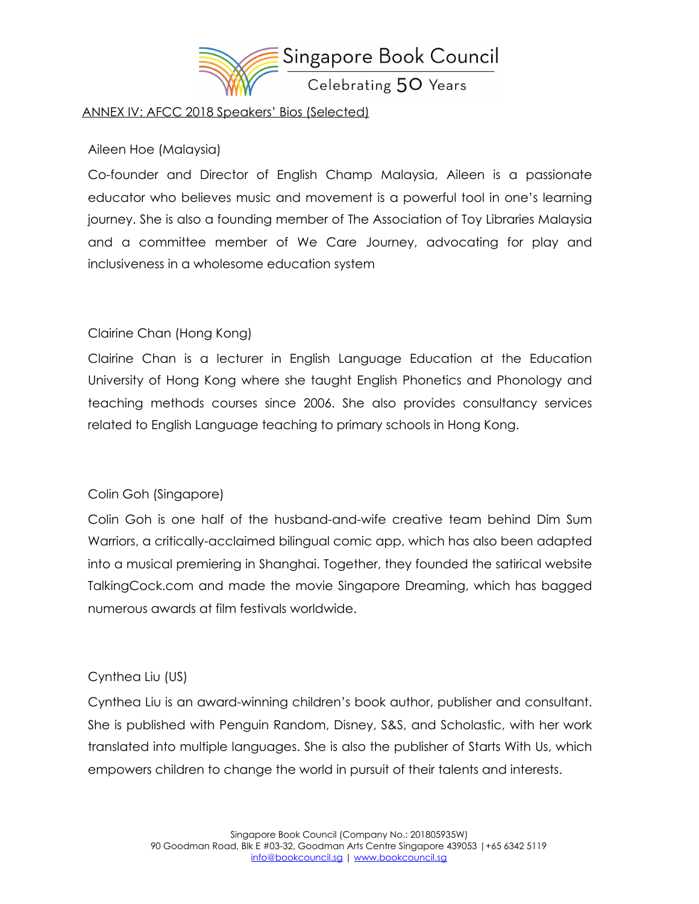

#### ANNEX IV: AFCC 2018 Speakers' Bios (Selected)

#### Aileen Hoe (Malaysia)

Co-founder and Director of English Champ Malaysia, Aileen is a passionate educator who believes music and movement is a powerful tool in one's learning journey. She is also a founding member of The Association of Toy Libraries Malaysia and a committee member of We Care Journey, advocating for play and inclusiveness in a wholesome education system

# Clairine Chan (Hong Kong)

Clairine Chan is a lecturer in English Language Education at the Education University of Hong Kong where she taught English Phonetics and Phonology and teaching methods courses since 2006. She also provides consultancy services related to English Language teaching to primary schools in Hong Kong.

## Colin Goh (Singapore)

Colin Goh is one half of the husband-and-wife creative team behind Dim Sum Warriors, a critically-acclaimed bilingual comic app, which has also been adapted into a musical premiering in Shanghai. Together, they founded the satirical website TalkingCock.com and made the movie Singapore Dreaming, which has bagged numerous awards at film festivals worldwide.

## Cynthea Liu (US)

Cynthea Liu is an award-winning children's book author, publisher and consultant. She is published with Penguin Random, Disney, S&S, and Scholastic, with her work translated into multiple languages. She is also the publisher of Starts With Us, which empowers children to change the world in pursuit of their talents and interests.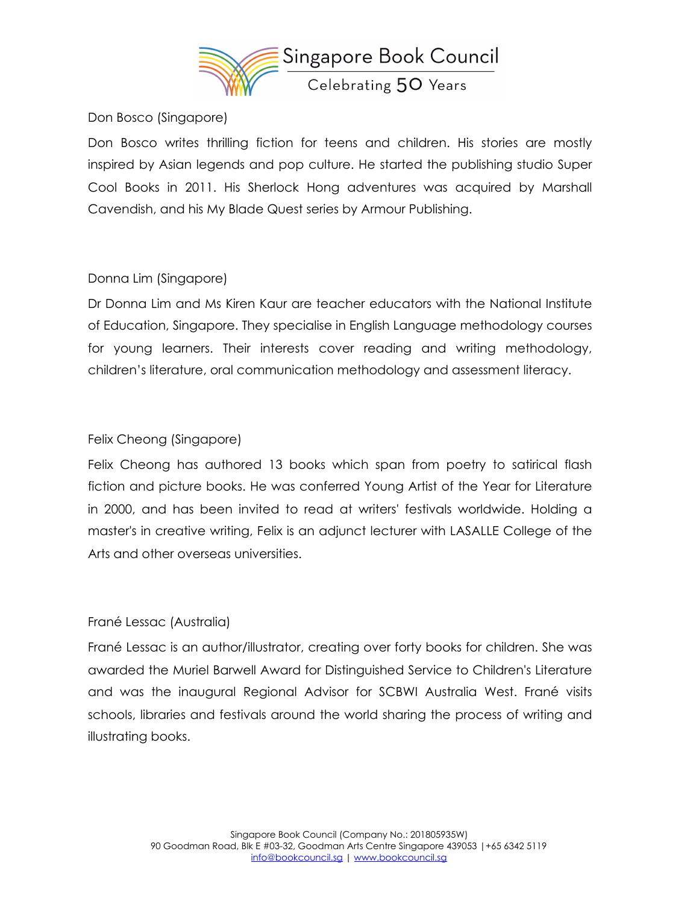

Don Bosco (Singapore)

Don Bosco writes thrilling fiction for teens and children. His stories are mostly inspired by Asian legends and pop culture. He started the publishing studio Super Cool Books in 2011. His Sherlock Hong adventures was acquired by Marshall Cavendish, and his My Blade Quest series by Armour Publishing.

# Donna Lim (Singapore)

Dr Donna Lim and Ms Kiren Kaur are teacher educators with the National Institute of Education, Singapore. They specialise in English Language methodology courses for young learners. Their interests cover reading and writing methodology, children's literature, oral communication methodology and assessment literacy.

# Felix Cheong (Singapore)

Felix Cheong has authored 13 books which span from poetry to satirical flash fiction and picture books. He was conferred Young Artist of the Year for Literature in 2000, and has been invited to read at writers' festivals worldwide. Holding a master's in creative writing, Felix is an adjunct lecturer with LASALLE College of the Arts and other overseas universities.

## Frané Lessac (Australia)

Frané Lessac is an author/illustrator, creating over forty books for children. She was awarded the Muriel Barwell Award for Distinguished Service to Children's Literature and was the inaugural Regional Advisor for SCBWI Australia West. Frané visits schools, libraries and festivals around the world sharing the process of writing and illustrating books.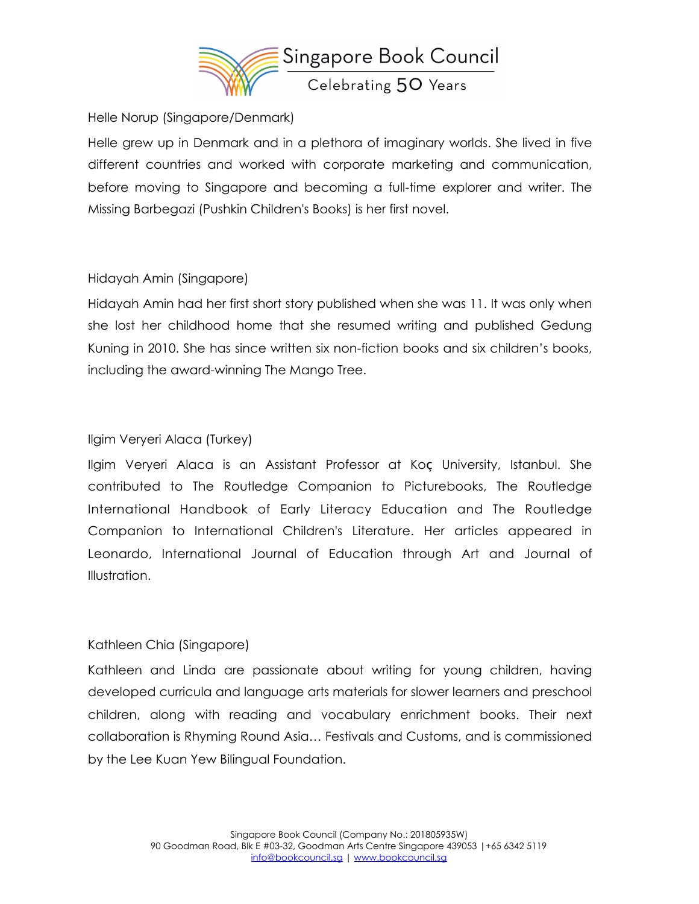

#### Helle Norup (Singapore/Denmark)

Helle grew up in Denmark and in a plethora of imaginary worlds. She lived in five different countries and worked with corporate marketing and communication, before moving to Singapore and becoming a full-time explorer and writer. The Missing Barbegazi (Pushkin Children's Books) is her first novel.

## Hidayah Amin (Singapore)

Hidayah Amin had her first short story published when she was 11. It was only when she lost her childhood home that she resumed writing and published Gedung Kuning in 2010. She has since written six non-fiction books and six children's books, including the award-winning The Mango Tree.

## Ilgim Veryeri Alaca (Turkey)

Ilgim Veryeri Alaca is an Assistant Professor at Koç University, Istanbul. She contributed to The Routledge Companion to Picturebooks, The Routledge International Handbook of Early Literacy Education and The Routledge Companion to International Children's Literature. Her articles appeared in Leonardo, International Journal of Education through Art and Journal of Illustration.

#### Kathleen Chia (Singapore)

Kathleen and Linda are passionate about writing for young children, having developed curricula and language arts materials for slower learners and preschool children, along with reading and vocabulary enrichment books. Their next collaboration is Rhyming Round Asia… Festivals and Customs, and is commissioned by the Lee Kuan Yew Bilingual Foundation.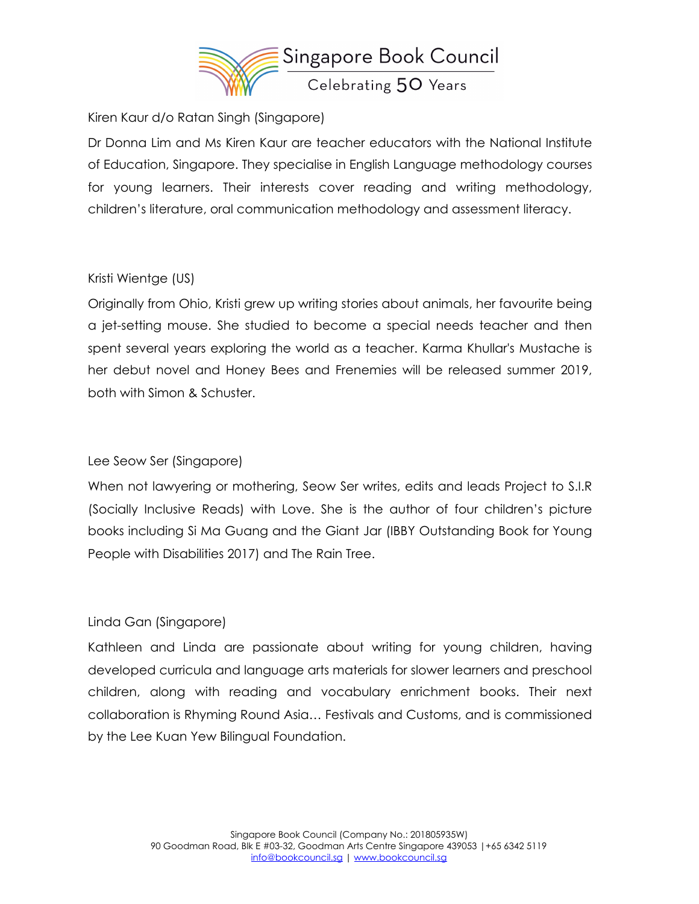

Kiren Kaur d/o Ratan Singh (Singapore)

Dr Donna Lim and Ms Kiren Kaur are teacher educators with the National Institute of Education, Singapore. They specialise in English Language methodology courses for young learners. Their interests cover reading and writing methodology, children's literature, oral communication methodology and assessment literacy.

## Kristi Wientge (US)

Originally from Ohio, Kristi grew up writing stories about animals, her favourite being a jet-setting mouse. She studied to become a special needs teacher and then spent several years exploring the world as a teacher. Karma Khullar's Mustache is her debut novel and Honey Bees and Frenemies will be released summer 2019, both with Simon & Schuster.

## Lee Seow Ser (Singapore)

When not lawyering or mothering, Seow Ser writes, edits and leads Project to S.I.R (Socially Inclusive Reads) with Love. She is the author of four children's picture books including Si Ma Guang and the Giant Jar (IBBY Outstanding Book for Young People with Disabilities 2017) and The Rain Tree.

## Linda Gan (Singapore)

Kathleen and Linda are passionate about writing for young children, having developed curricula and language arts materials for slower learners and preschool children, along with reading and vocabulary enrichment books. Their next collaboration is Rhyming Round Asia… Festivals and Customs, and is commissioned by the Lee Kuan Yew Bilingual Foundation.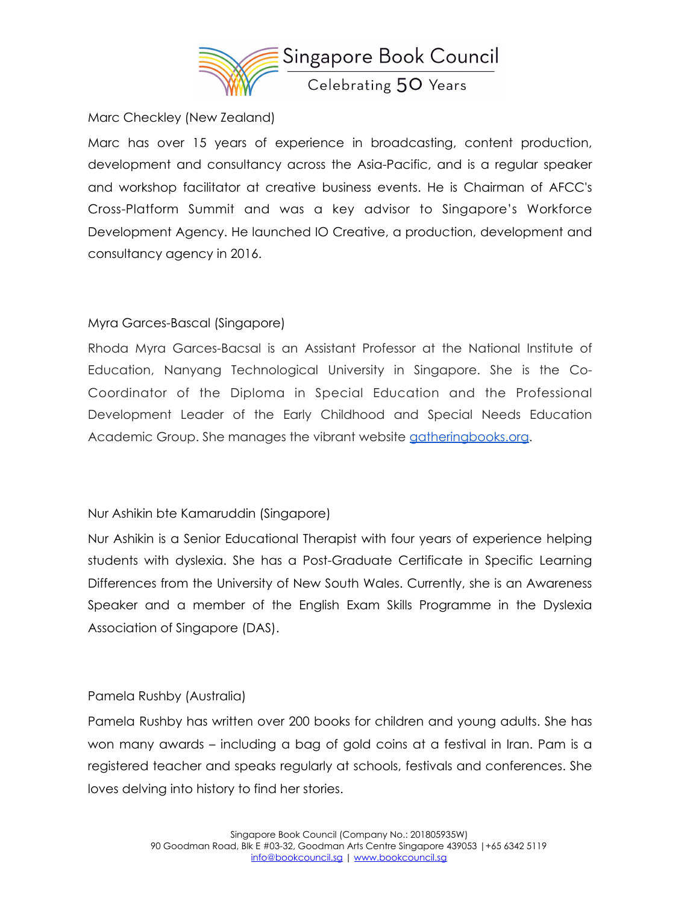

Marc Checkley (New Zealand)

Marc has over 15 years of experience in broadcasting, content production, development and consultancy across the Asia-Pacific, and is a regular speaker and workshop facilitator at creative business events. He is Chairman of AFCC's Cross-Platform Summit and was a key advisor to Singapore's Workforce Development Agency. He launched IO Creative, a production, development and consultancy agency in 2016.

## Myra Garces-Bascal (Singapore)

Rhoda Myra Garces-Bacsal is an Assistant Professor at the National Institute of Education, Nanyang Technological University in Singapore. She is the Co-Coordinator of the Diploma in Special Education and the Professional Development Leader of the Early Childhood and Special Needs Education Academic Group. She manages the vibrant website [gatheringbooks.org.](http://gatheringbooks.org/)

#### Nur Ashikin bte Kamaruddin (Singapore)

Nur Ashikin is a Senior Educational Therapist with four years of experience helping students with dyslexia. She has a Post-Graduate Certificate in Specific Learning Differences from the University of New South Wales. Currently, she is an Awareness Speaker and a member of the English Exam Skills Programme in the Dyslexia Association of Singapore (DAS).

#### Pamela Rushby (Australia)

Pamela Rushby has written over 200 books for children and young adults. She has won many awards – including a bag of gold coins at a festival in Iran. Pam is a registered teacher and speaks regularly at schools, festivals and conferences. She loves delving into history to find her stories.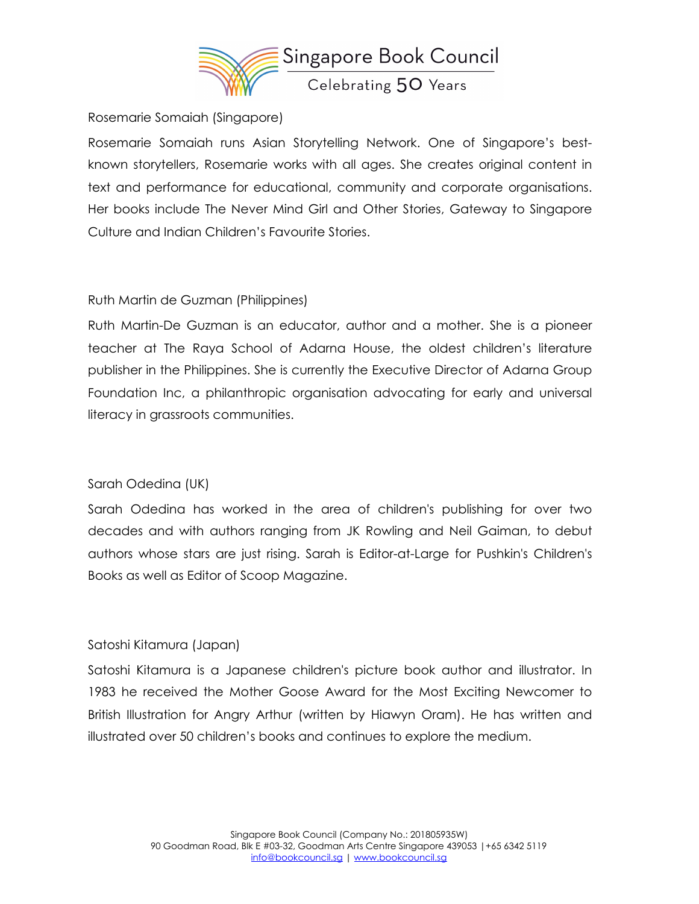

#### Rosemarie Somaiah (Singapore)

Rosemarie Somaiah runs Asian Storytelling Network. One of Singapore's bestknown storytellers, Rosemarie works with all ages. She creates original content in text and performance for educational, community and corporate organisations. Her books include The Never Mind Girl and Other Stories, Gateway to Singapore Culture and Indian Children's Favourite Stories.

#### Ruth Martin de Guzman (Philippines)

Ruth Martin-De Guzman is an educator, author and a mother. She is a pioneer teacher at The Raya School of Adarna House, the oldest children's literature publisher in the Philippines. She is currently the Executive Director of Adarna Group Foundation Inc, a philanthropic organisation advocating for early and universal literacy in grassroots communities.

#### Sarah Odedina (UK)

Sarah Odedina has worked in the area of children's publishing for over two decades and with authors ranging from JK Rowling and Neil Gaiman, to debut authors whose stars are just rising. Sarah is Editor-at-Large for Pushkin's Children's Books as well as Editor of Scoop Magazine.

#### Satoshi Kitamura (Japan)

Satoshi Kitamura is a Japanese children's picture book author and illustrator. In 1983 he received the Mother Goose Award for the Most Exciting Newcomer to British Illustration for Angry Arthur (written by Hiawyn Oram). He has written and illustrated over 50 children's books and continues to explore the medium.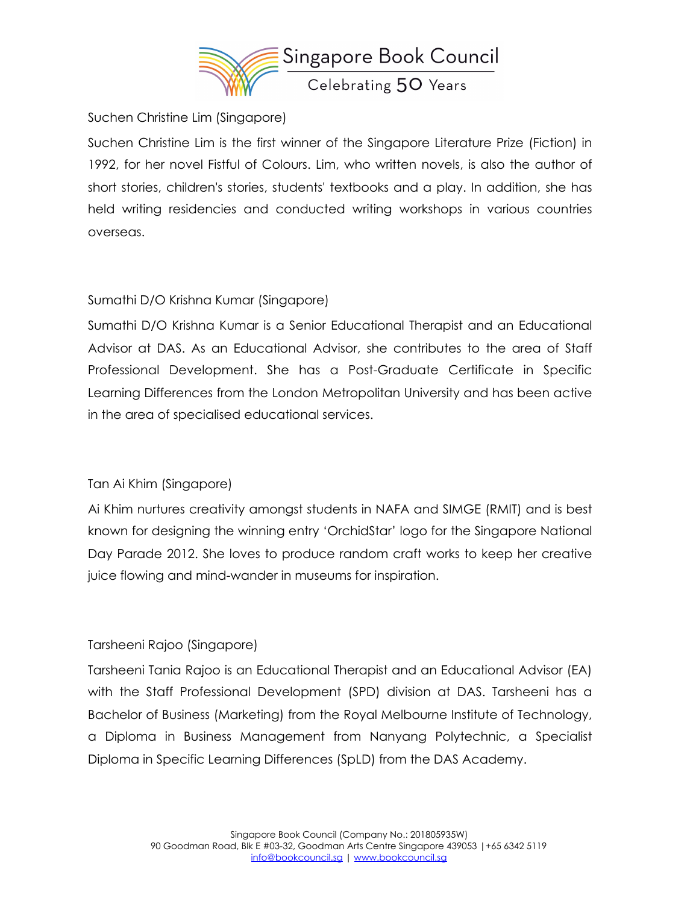

Suchen Christine Lim (Singapore)

Suchen Christine Lim is the first winner of the Singapore Literature Prize (Fiction) in 1992, for her novel Fistful of Colours. Lim, who written novels, is also the author of short stories, children's stories, students' textbooks and a play. In addition, she has held writing residencies and conducted writing workshops in various countries overseas.

## Sumathi D/O Krishna Kumar (Singapore)

Sumathi D/O Krishna Kumar is a Senior Educational Therapist and an Educational Advisor at DAS. As an Educational Advisor, she contributes to the area of Staff Professional Development. She has a Post-Graduate Certificate in Specific Learning Differences from the London Metropolitan University and has been active in the area of specialised educational services.

## Tan Ai Khim (Singapore)

Ai Khim nurtures creativity amongst students in NAFA and SIMGE (RMIT) and is best known for designing the winning entry 'OrchidStar' logo for the Singapore National Day Parade 2012. She loves to produce random craft works to keep her creative juice flowing and mind-wander in museums for inspiration.

## Tarsheeni Rajoo (Singapore)

Tarsheeni Tania Rajoo is an Educational Therapist and an Educational Advisor (EA) with the Staff Professional Development (SPD) division at DAS. Tarsheeni has a Bachelor of Business (Marketing) from the Royal Melbourne Institute of Technology, a Diploma in Business Management from Nanyang Polytechnic, a Specialist Diploma in Specific Learning Differences (SpLD) from the DAS Academy.